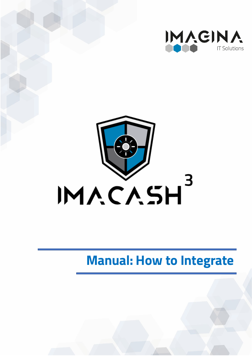



# **Manual: How to Integrate**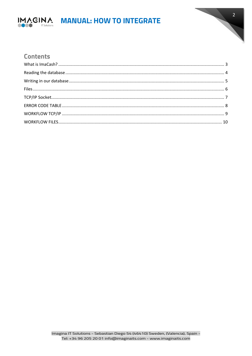

# IMAGINA MANUAL: HOW TO INTEGRATE



### **Contents**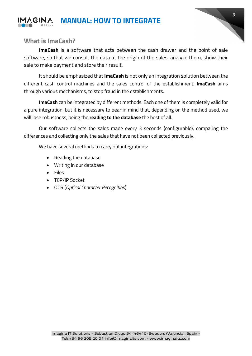



## <span id="page-2-0"></span>**What is ImaCash?**

**ImaCash** is a software that acts between the cash drawer and the point of sale software, so that we consult the data at the origin of the sales, analyze them, show their sale to make payment and store their result.

It should be emphasized that **ImaCash** is not only an integration solution between the different cash control machines and the sales control of the establishment, **ImaCash** aims through various mechanisms, to stop fraud in the establishments.

**ImaCash** can be integrated by different methods. Each one of them is completely valid for a pure integration, but it is necessary to bear in mind that, depending on the method used, we will lose robustness, being the **reading to the database** the best of all.

Our software collects the sales made every 3 seconds (configurable), comparing the differences and collecting only the sales that have not been collected previously.

We have several methods to carry out integrations:

- Reading the database
- Writing in our database
- Files
- TCP/IP Socket
- OCR (*Optical Character Recognition*)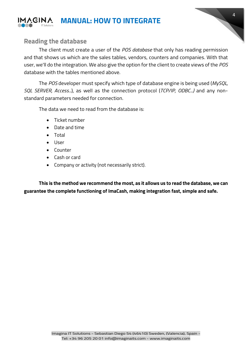

# <span id="page-3-0"></span>**Reading the database**

The client must create a user of the *POS database* that only has reading permission and that shows us which are the sales tables, vendors, counters and companies. With that user, we'll do the integration. We also give the option for the client to create views of the *POS* database with the tables mentioned above.

4

The *POS* developer must specify which type of database engine is being used (*MySQL, SQL SERVER, Access...*), as well as the connection protocol (*TCP/IP, ODBC...)* and any nonstandard parameters needed for connection.

The data we need to read from the database is:

- Ticket number
- Date and time
- Total
- User
- Counter
- Cash or card
- Company or activity (not necessarily strict).

**This is the method we recommend the most, as it allows us to read the database, we can guarantee the complete functioning of ImaCash, making integration fast, simple and safe.**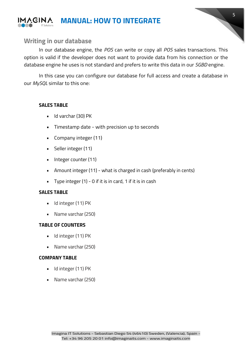

<span id="page-4-0"></span>

In our database engine, the *POS* can write or copy all *POS* sales transactions. This option is valid if the developer does not want to provide data from his connection or the database engine he uses is not standard and prefers to write this data in our *SGBD* engine.

5

In this case you can configure our database for full access and create a database in our *MySQL* similar to this one:

#### **SALES TABLE**

- Id varchar (30) PK
- Timestamp date with precision up to seconds
- Company integer (11)
- Seller integer (11)
- Integer counter (11)
- Amount integer (11) what is charged in cash (preferably in cents)
- Type integer (1) 0 if it is in card, 1 if it is in cash

#### **SALES TABLE**

- Id integer (11) PK
- Name varchar (250)

#### **TABLE OF COUNTERS**

- Id integer (11) PK
- Name varchar (250)

#### **COMPANY TABLE**

- Id integer (11) PK
- Name varchar (250)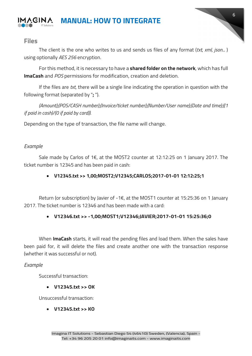

#### <span id="page-5-0"></span>**Files**

The client is the one who writes to us and sends us files of any format (*txt, xml, json...* ) using optionally *AES 256* encryption.

For this method, it is necessary to have a **shared folder on the network**, which has full **ImaCash** and *POS* permissions for modification, creation and deletion.

If the files are *txt*, there will be a single line indicating the operation in question with the following format (separated by "**;** ").

*(Amount);(POS/CASH number);(Invoice/ticket number);(Number/User name);(Date and time);((1 if paid in cash)/(0 if paid by card)).*

Depending on the type of transaction, the file name will change.

#### *Example*

Sale made by Carlos of 1€, at the MOST2 counter at 12:12:25 on 1 January 2017. The ticket number is 12345 and has been paid in cash:

#### • **V12345.txt >> 1,00;MOST2;V12345;CARLOS;2017-01-01 12:12:25;1**

Return (or subscription) by Javier of -1€, at the MOST1 counter at 15:25:36 on 1 January 2017. The ticket number is 12346 and has been made with a card:

#### • **V12346.txt >> -1,00;MOST1;V12346;JAVIER;2017-01-01 15:25:36;0**

When **ImaCash** starts, it will read the pending files and load them. When the sales have been paid for, it will delete the files and create another one with the transaction response (whether it was successful or not).

#### *Example*

Successful transaction:

• **V12345.txt >> OK**

Unsuccessful transaction:

• **V12345.txt >> KO**

6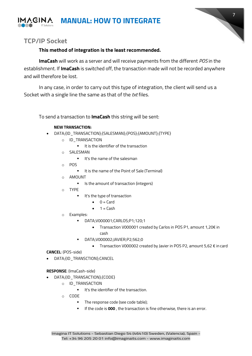



# <span id="page-6-0"></span>**TCP/IP Socket**

#### **This method of integration is the least recommended.**

**ImaCash** will work as a server and will receive payments from the different *POS* in the establishment. If **ImaCash** is switched off, the transaction made will not be recorded anywhere and will therefore be lost.

In any case, in order to carry out this type of integration, the client will send us a Socket with a single line the same as that of the *txt* files.

To send a transaction to **ImaCash** this string will be sent:

#### **NEW TRANSACTION:**

- DATA;{ID\_TRANSACTION};{SALESMAN};{POS};{AMOUNT};{TYPE}
	- o ID\_TRANSACTION
		- $I$  It is the identifier of the transaction
	- o SALESMAN
		- **If** It's the name of the salesman
	- o POS
		- It is the name of the Point of Sale (Terminal)
	- o AMOUNT
		- Is the amount of transaction (integers)
	- o TYPE
		- It's the type of transaction
			- $\bullet$  0 = Card
			- $1 =$ Cash
	- o Examples:
		- DATA;V000001;CARLOS;P1;120;1
			- Transaction V000001 created by Carlos in POS P1, amount 1,20€ in cash
		- DATA;V000002;JAVIER;P2;562;0
			- Transaction V000002 created by Javier in POS P2, amount 5,62 € in card

**CANCEL**: (POS-side)

DATA;{ID\_TRANSCTION};CANCEL

**RESPONSE**: (ImaCash-side)

- DATA;{ID\_TRANSACTION};{CODE}
	- o ID\_TRANSACTION
		- $I$  It's the identifier of the transaction.
	- $\circ$  CODE
		- The response code (see code table);
		- If the code is **000**, the transaction is fine otherwise, there is an error.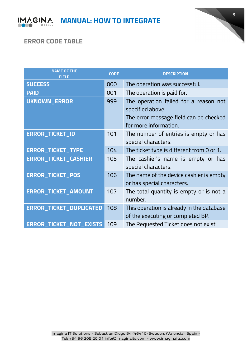



# <span id="page-7-0"></span>**ERROR CODE TABLE**

| <b>NAME OF THE</b><br><b>FIELD</b> | <b>CODE</b> | <b>DESCRIPTION</b>                                                                                                           |
|------------------------------------|-------------|------------------------------------------------------------------------------------------------------------------------------|
| <b>SUCCESS</b>                     | 000         | The operation was successful.                                                                                                |
| <b>PAID</b>                        | 001         | The operation is paid for.                                                                                                   |
| <b>UKNOWN_ERROR</b>                | 999         | The operation failed for a reason not<br>specified above.<br>The error message field can be checked<br>for more information. |
| <b>ERROR_TICKET_ID</b>             | 101         | The number of entries is empty or has<br>special characters.                                                                 |
| <b>ERROR_TICKET_TYPE</b>           | 104         | The ticket type is different from 0 or 1.                                                                                    |
| <b>ERROR_TICKET_CASHIER</b>        | 105         | The cashier's name is empty or has<br>special characters.                                                                    |
| <b>ERROR_TICKET_POS</b>            | 106         | The name of the device cashier is empty<br>or has special characters.                                                        |
| <b>ERROR_TICKET_AMOUNT</b>         | 107         | The total quantity is empty or is not a<br>number.                                                                           |
| <b>ERROR_TICKET_DUPLICATED</b>     | 108         | This operation is already in the database<br>of the executing or completed BP.                                               |
| ERROR_TICKET_NOT_EXISTS            | 109         | The Requested Ticket does not exist                                                                                          |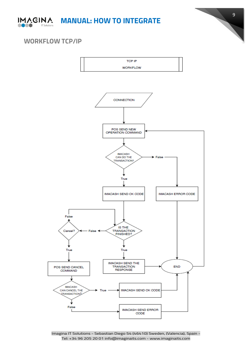



# <span id="page-8-0"></span>**WORKFLOW TCP/IP**



Imagina IT Solutions - Sebastian Diego 54 (46410) Sweden, (Valencia), Spain - Tel: +34 96 205 20 01 info@imaginaits.com - [www.imaginaits.com](http://www/)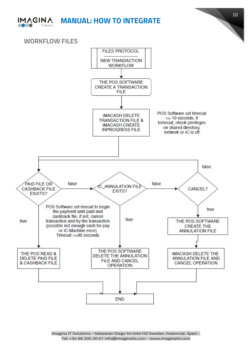

**MANUAL: HOW TO INTEGRATE**



<span id="page-9-0"></span>**WORKFLOW FILES**